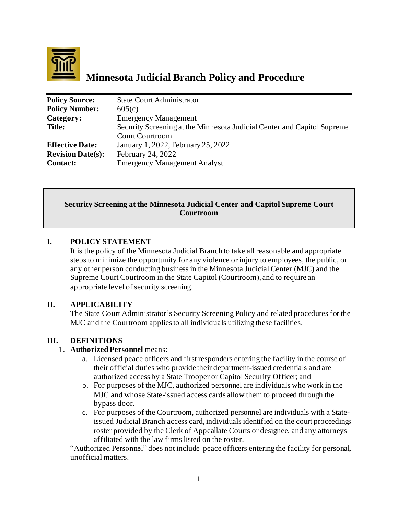

# **Minnesota Judicial Branch Policy and Procedure**

| <b>Policy Source:</b>    | <b>State Court Administrator</b>                                        |
|--------------------------|-------------------------------------------------------------------------|
| <b>Policy Number:</b>    | 605(c)                                                                  |
| Category:                | <b>Emergency Management</b>                                             |
| Title:                   | Security Screening at the Minnesota Judicial Center and Capitol Supreme |
|                          | <b>Court Courtroom</b>                                                  |
| <b>Effective Date:</b>   | January 1, 2022, February 25, 2022                                      |
| <b>Revision Date(s):</b> | February 24, 2022                                                       |
| <b>Contact:</b>          | <b>Emergency Management Analyst</b>                                     |

#### **Security Screening at the Minnesota Judicial Center and Capitol Supreme Court Courtroom**

### **I. POLICY STATEMENT**

It is the policy of the Minnesota Judicial Branch to take all reasonable and appropriate steps to minimize the opportunity for any violence or injury to employees, the public, or any other person conducting business in the Minnesota Judicial Center (MJC) and the Supreme Court Courtroom in the State Capitol (Courtroom), and to require an appropriate level of security screening.

### **II. APPLICABILITY**

The State Court Administrator's Security Screening Policy and related procedures for the MJC and the Courtroom applies to all individuals utilizing these facilities.

### **III. DEFINITIONS**

#### 1. **Authorized Personnel** means:

- a. Licensed peace officers and first responders entering the facility in the course of their official duties who provide their department-issued credentials and are authorized access by a State Trooper or Capitol Security Officer; and
- b. For purposes of the MJC, authorized personnel are individuals who work in the MJC and whose State-issued access cards allow them to proceed through the bypass door.
- c. For purposes of the Courtroom, authorized personnel are individuals with a Stateissued Judicial Branch access card, individuals identified on the court proceedings roster provided by the Clerk of Appeallate Courts or designee, and any attorneys affiliated with the law firms listed on the roster.

"Authorized Personnel" does not include peace officers entering the facility for personal, unofficial matters.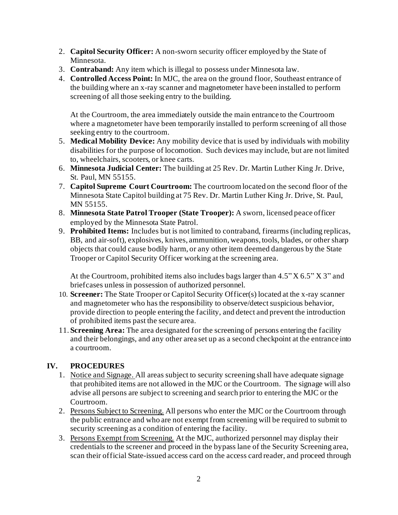- 2. **Capitol Security Officer:** A non-sworn security officer employed by the State of Minnesota.
- 3. **Contraband:** Any item which is illegal to possess under Minnesota law.
- 4. **Controlled Access Point:** In MJC, the area on the ground floor, Southeast entrance of the building where an x-ray scanner and magnetometer have been installed to perform screening of all those seeking entry to the building.

At the Courtroom, the area immediately outside the main entrance to the Courtroom where a magnetometer have been temporarily installed to perform screening of all those seeking entry to the courtroom.

- 5. **Medical Mobility Device:** Any mobility device that is used by individuals with mobility disabilities for the purpose of locomotion. Such devices may include, but are not limited to, wheelchairs, scooters, or knee carts.
- 6. **Minnesota Judicial Center:** The building at 25 Rev. Dr. Martin Luther King Jr. Drive, St. Paul, MN 55155.
- 7. **Capitol Supreme Court Courtroom:** The courtroom located on the second floor of the Minnesota State Capitol building at 75 Rev. Dr. Martin Luther King Jr. Drive, St. Paul, MN 55155.
- 8. **Minnesota State Patrol Trooper (State Trooper):** A sworn, licensed peace officer employed by the Minnesota State Patrol.
- 9. **Prohibited Items:** Includes but is not limited to contraband, firearms (including replicas, BB, and air-soft), explosives, knives, ammunition, weapons, tools, blades, or other sharp objects that could cause bodily harm, or any other item deemed dangerous by the State Trooper or Capitol Security Officer working at the screening area.

At the Courtroom, prohibited items also includes bags larger than 4.5" X 6.5" X 3" and briefcases unless in possession of authorized personnel.

- 10. **Screener:** The State Trooper or Capitol Security Officer(s) located at the x-ray scanner and magnetometer who has the responsibility to observe/detect suspicious behavior, provide direction to people entering the facility, and detect and prevent the introduction of prohibited items past the secure area.
- 11. **Screening Area:** The area designated for the screening of persons entering the facility and their belongings, and any other area set up as a second checkpoint at the entrance into a courtroom.

## **IV. PROCEDURES**

- 1. Notice and Signage. All areas subject to security screening shall have adequate signage that prohibited items are not allowed in the MJC or the Courtroom. The signage will also advise all persons are subject to screening and search prior to entering the MJC or the Courtroom.
- 2. Persons Subject to Screening. All persons who enter the MJC or the Courtroom through the public entrance and who are not exempt from screening will be required to submit to security screening as a condition of entering the facility.
- 3. Persons Exempt from Screening. At the MJC, authorized personnel may display their credentials to the screener and proceed in the bypass lane of the Security Screening area, scan their official State-issued access card on the access card reader, and proceed through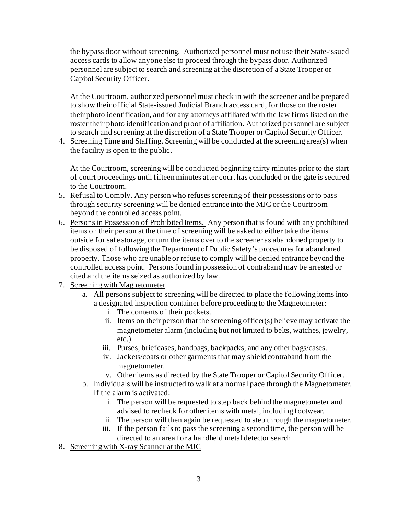the bypass door without screening. Authorized personnel must not use their State-issued access cards to allow anyone else to proceed through the bypass door. Authorized personnel are subject to search and screening at the discretion of a State Trooper or Capitol Security Officer.

At the Courtroom, authorized personnel must check in with the screener and be prepared to show their official State-issued Judicial Branch access card, for those on the roster their photo identification, and for any attorneys affiliated with the law firms listed on the roster their photo identification and proof of affiliation. Authorized personnel are subject to search and screening at the discretion of a State Trooper or Capitol Security Officer.

4. Screening Time and Staffing. Screening will be conducted at the screening area(s) when the facility is open to the public.

At the Courtroom, screening will be conducted beginning thirty minutes prior to the start of court proceedings until fifteen minutes after court has concluded or the gate is secured to the Courtroom.

- 5. Refusal to Comply. Any person who refuses screening of their possessions or to pass through security screening will be denied entrance into the MJC or the Courtroom beyond the controlled access point.
- 6. Persons in Possession of Prohibited Items. Any person that is found with any prohibited items on their person at the time of screening will be asked to either take the items outside for safe storage, or turn the items over to the screener as abandoned property to be disposed of following the Department of Public Safety's procedures for abandoned property. Those who are unable or refuse to comply will be denied entrance beyond the controlled access point. Personsfound in possession of contraband may be arrested or cited and the items seized as authorized by law.
- 7. Screening with Magnetometer
	- a. All persons subject to screening will be directed to place the following items into a designated inspection container before proceeding to the Magnetometer:
		- i. The contents of their pockets.
		- ii. Items on their person that the screening officer(s) believe may activate the magnetometer alarm (including but not limited to belts, watches, jewelry, etc.).
		- iii. Purses, briefcases, handbags, backpacks, and any other bags/cases.
		- iv. Jackets/coats or other garments that may shield contraband from the magnetometer.
		- v. Other items as directed by the State Trooper or Capitol Security Officer.
	- b. Individuals will be instructed to walk at a normal pace through the Magnetometer. If the alarm is activated:
		- i. The person will be requested to step back behind the magnetometer and advised to recheck for other items with metal, including footwear.
		- ii. The person will then again be requested to step through the magnetometer.
		- iii. If the person fails to pass the screening a second time, the person will be directed to an area for a handheld metal detector search.
- 8. Screening with X-ray Scanner at the MJC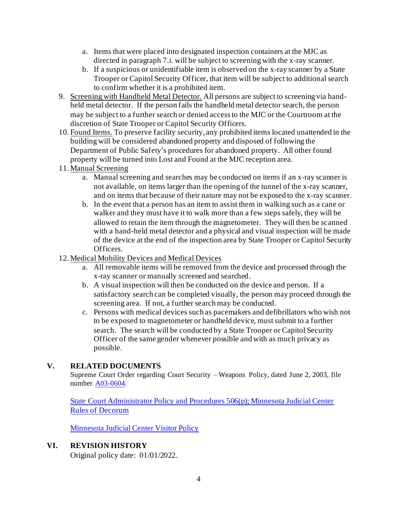- a. Items that were placed into designated inspection containers at the MJC as directed in paragraph 7.i. will be subject to screening with the x-ray scanner.
- b. If a suspicious or unidentifiable item is observed on the x-ray scanner by a State Trooper or Capitol Security Officer, that item will be subject to additional search to confirm whether it is a prohibited item.
- 9. Screening with Handheld Metal Detector. All persons are subject to screening via handheld metal detector. If the person fails the handheld metal detector search, the person may be subject to a further search or denied accessto the MJC or the Courtroom at the discretion of State Trooper or Capitol Security Officers.
- 10. Found Items. To preserve facility security, any prohibited items located unattended in the building will be considered abandoned property and disposed of following the Department of Public Safety's procedures for abandoned property. All other found property will be turned into Lost and Found at the MJC reception area.
- 11. Manual Screening
	- a. Manual screening and searches may be conducted on items if an x-ray scanner is not available, on items larger than the opening of the tunnel of the x-ray scanner, and on items that because of their nature may not be exposed to the x-ray scanner.
	- b. In the event that a person has an item to assist them in walking such as a cane or walker and they must have it to walk more than a few steps safely, they will be allowed to retain the item through the magnetometer. They will then be scanned with a hand-held metal detector and a physical and visual inspection will be made of the device at the end of the inspection area by State Trooper or Capitol Security Officers.
- 12. Medical Mobility Devices and Medical Devices
	- a. All removable items will be removed from the device and processed through the x-ray scanner or manually screened and searched.
	- b. A visual inspection will then be conducted on the device and person. If a satisfactory search can be completed visually, the person may proceed through the screening area. If not, a further search may be conducted.
	- c. Persons with medical devices such as pacemakers and defibrillators who wish not to be exposed to magnetometer or handheld device, must submit to a further search. The search will be conducted by a State Trooper or Capitol Security Officer of the same gender whenever possible and with as much privacy as possible.

## **V. RELATED DOCUMENTS**

Supreme Court Order regarding Court Security – Weapons Policy, dated June 2, 2003, file number [A03-0604.](https://www.mncourts.gov/mncourtsgov/media/AdministrativeFileArchive/Court%20Security%20ADM10-8013%20formerly%20A03-0604/2003-06-02%20Order%20Weapons%20Policy.pdf)

[State Court Administrator Policy and Procedures 506\(p\); Minnesota Judicial Center](https://www.mncourts.gov/mncourtsgov/media/CIOMediaLibrary/DocumentLibrary/506(p)_MJC_Decorum.pdf)  Rules of [Decorum](https://www.mncourts.gov/mncourtsgov/media/CIOMediaLibrary/DocumentLibrary/506(p)_MJC_Decorum.pdf)

[Minnesota Judicial Center Visitor](https://mncourts.gov/mncourtsgov/media/CIOMediaLibrary/DocumentLibrary/MJC_Visitor_Policy_1.pdf) Policy

### **VI. REVISION HISTORY**

Original policy date: 01/01/2022.